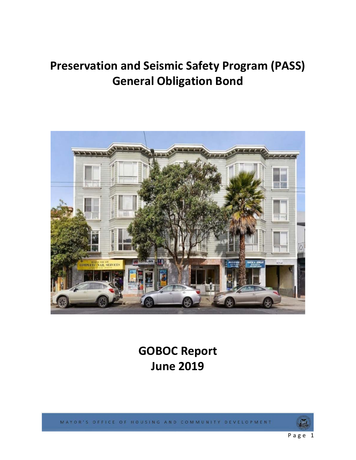# **Preservation and Seismic Safety Program (PASS) General Obligation Bond**



**GOBOC Report June 2019** 

MAYOR'S OFFICE OF HOUSING AND COMMUNITY DEVELOPMENT

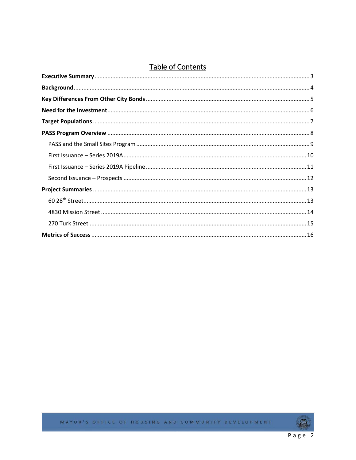### Table of Contents



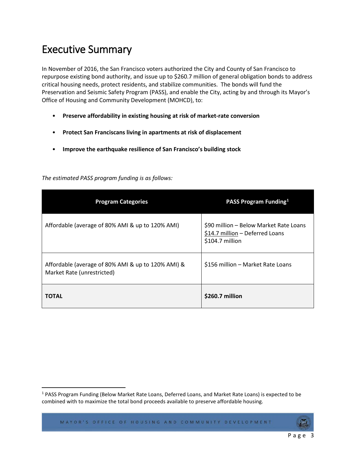## <span id="page-2-0"></span>Executive Summary

In November of 2016, the San Francisco voters authorized the City and County of San Francisco to repurpose existing bond authority, and issue up to \$260.7 million of general obligation bonds to address critical housing needs, protect residents, and stabilize communities. The bonds will fund the Preservation and Seismic Safety Program (PASS), and enable the City, acting by and through its Mayor's Office of Housing and Community Development (MOHCD), to:

- **Preserve affordability in existing housing at risk of market-rate conversion**
- **Protect San Franciscans living in apartments at risk of displacement**
- **Improve the earthquake resilience of San Francisco's building stock**

| <b>Program Categories</b>                                                        | PASS Program Funding <sup>1</sup>                                                            |
|----------------------------------------------------------------------------------|----------------------------------------------------------------------------------------------|
| Affordable (average of 80% AMI & up to 120% AMI)                                 | \$90 million - Below Market Rate Loans<br>\$14.7 million - Deferred Loans<br>\$104.7 million |
| Affordable (average of 80% AMI & up to 120% AMI) &<br>Market Rate (unrestricted) | \$156 million - Market Rate Loans                                                            |
| <b>TOTAL</b>                                                                     | \$260.7 million                                                                              |

*The estimated PASS program funding is as follows:*

<span id="page-2-1"></span><sup>&</sup>lt;sup>1</sup> PASS Program Funding (Below Market Rate Loans, Deferred Loans, and Market Rate Loans) is expected to be combined with to maximize the total bond proceeds available to preserve affordable housing.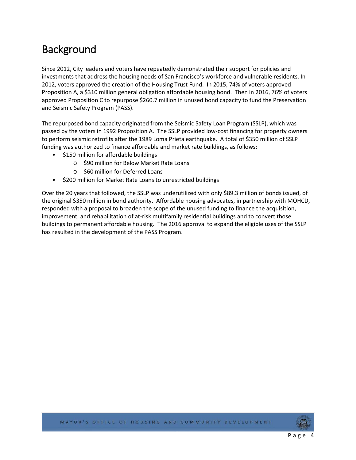## <span id="page-3-0"></span>**Background**

Since 2012, City leaders and voters have repeatedly demonstrated their support for policies and investments that address the housing needs of San Francisco's workforce and vulnerable residents. In 2012, voters approved the creation of the Housing Trust Fund. In 2015, 74% of voters approved Proposition A, a \$310 million general obligation affordable housing bond. Then in 2016, 76% of voters approved Proposition C to repurpose \$260.7 million in unused bond capacity to fund the Preservation and Seismic Safety Program (PASS).

The repurposed bond capacity originated from the Seismic Safety Loan Program (SSLP), which was passed by the voters in 1992 Proposition A. The SSLP provided low-cost financing for property owners to perform seismic retrofits after the 1989 Loma Prieta earthquake. A total of \$350 million of SSLP funding was authorized to finance affordable and market rate buildings, as follows:

- \$150 million for affordable buildings
	- o \$90 million for Below Market Rate Loans
	- o \$60 million for Deferred Loans
- \$200 million for Market Rate Loans to unrestricted buildings

Over the 20 years that followed, the SSLP was underutilized with only \$89.3 million of bonds issued, of the original \$350 million in bond authority. Affordable housing advocates, in partnership with MOHCD, responded with a proposal to broaden the scope of the unused funding to finance the acquisition, improvement, and rehabilitation of at-risk multifamily residential buildings and to convert those buildings to permanent affordable housing. The 2016 approval to expand the eligible uses of the SSLP has resulted in the development of the PASS Program.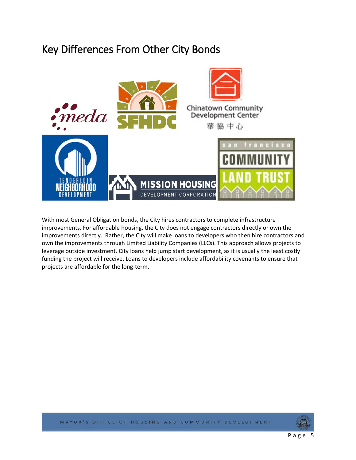### <span id="page-4-0"></span>Key Differences From Other City Bonds



With most General Obligation bonds, the City hires contractors to complete infrastructure improvements. For affordable housing, the City does not engage contractors directly or own the improvements directly. Rather, the City will make loans to developers who then hire contractors and own the improvements through Limited Liability Companies (LLCs). This approach allows projects to leverage outside investment. City loans help jump start development, as it is usually the least costly funding the project will receive. Loans to developers include affordability covenants to ensure that projects are affordable for the long-term.

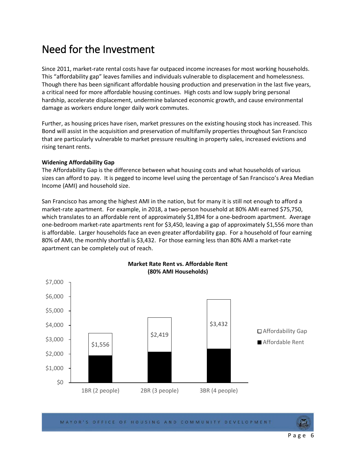### <span id="page-5-0"></span>Need for the Investment

Since 2011, market-rate rental costs have far outpaced income increases for most working households. This "affordability gap" leaves families and individuals vulnerable to displacement and homelessness. Though there has been significant affordable housing production and preservation in the last five years, a critical need for more affordable housing continues. High costs and low supply bring personal hardship, accelerate displacement, undermine balanced economic growth, and cause environmental damage as workers endure longer daily work commutes.

Further, as housing prices have risen, market pressures on the existing housing stock has increased. This Bond will assist in the acquisition and preservation of multifamily properties throughout San Francisco that are particularly vulnerable to market pressure resulting in property sales, increased evictions and rising tenant rents.

#### **Widening Affordability Gap**

The Affordability Gap is the difference between what housing costs and what households of various sizes can afford to pay. It is pegged to income level using the percentage of San Francisco's Area Median Income (AMI) and household size.

San Francisco has among the highest AMI in the nation, but for many it is still not enough to afford a market-rate apartment. For example, in 2018, a two-person household at 80% AMI earned \$75,750, which translates to an affordable rent of approximately \$1,894 for a one-bedroom apartment. Average one-bedroom market-rate apartments rent for \$3,450, leaving a gap of approximately \$1,556 more than is affordable. Larger households face an even greater affordability gap. For a household of four earning 80% of AMI, the monthly shortfall is \$3,432. For those earning less than 80% AMI a market-rate apartment can be completely out of reach.



**Market Rate Rent vs. Affordable Rent (80% AMI Households)**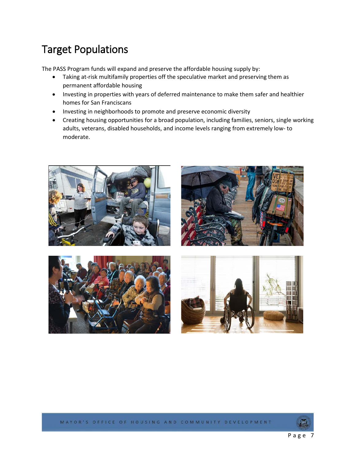## <span id="page-6-0"></span>Target Populations

The PASS Program funds will expand and preserve the affordable housing supply by:

- Taking at-risk multifamily properties off the speculative market and preserving them as permanent affordable housing
- Investing in properties with years of deferred maintenance to make them safer and healthier homes for San Franciscans
- Investing in neighborhoods to promote and preserve economic diversity
- Creating housing opportunities for a broad population, including families, seniors, single working adults, veterans, disabled households, and income levels ranging from extremely low- to moderate.











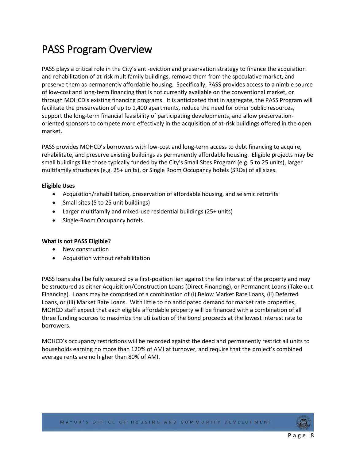## <span id="page-7-0"></span>PASS Program Overview

PASS plays a critical role in the City's anti-eviction and preservation strategy to finance the acquisition and rehabilitation of at-risk multifamily buildings, remove them from the speculative market, and preserve them as permanently affordable housing. Specifically, PASS provides access to a nimble source of low-cost and long-term financing that is not currently available on the conventional market, or through MOHCD's existing financing programs. It is anticipated that in aggregate, the PASS Program will facilitate the preservation of up to 1,400 apartments, reduce the need for other public resources, support the long-term financial feasibility of participating developments, and allow preservationoriented sponsors to compete more effectively in the acquisition of at-risk buildings offered in the open market.

PASS provides MOHCD's borrowers with low-cost and long-term access to debt financing to acquire, rehabilitate, and preserve existing buildings as permanently affordable housing. Eligible projects may be small buildings like those typically funded by the City's Small Sites Program (e.g. 5 to 25 units), larger multifamily structures (e.g. 25+ units), or Single Room Occupancy hotels (SROs) of all sizes.

#### **Eligible Uses**

- Acquisition/rehabilitation, preservation of affordable housing, and seismic retrofits
- Small sites (5 to 25 unit buildings)
- Larger multifamily and mixed-use residential buildings (25+ units)
- Single-Room Occupancy hotels

#### **What is not PASS Eligible?**

- New construction
- Acquisition without rehabilitation

PASS loans shall be fully secured by a first-position lien against the fee interest of the property and may be structured as either Acquisition/Construction Loans (Direct Financing), or Permanent Loans (Take-out Financing). Loans may be comprised of a combination of (i) Below Market Rate Loans, (ii) Deferred Loans, or (iii) Market Rate Loans. With little to no anticipated demand for market rate properties, MOHCD staff expect that each eligible affordable property will be financed with a combination of all three funding sources to maximize the utilization of the bond proceeds at the lowest interest rate to borrowers.

MOHCD's occupancy restrictions will be recorded against the deed and permanently restrict all units to households earning no more than 120% of AMI at turnover, and require that the project's combined average rents are no higher than 80% of AMI.

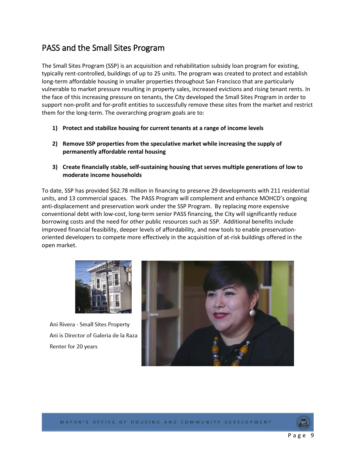### <span id="page-8-0"></span>PASS and the Small Sites Program

The Small Sites Program (SSP) is an acquisition and rehabilitation subsidy loan program for existing, typically rent-controlled, buildings of up to 25 units. The program was created to protect and establish long-term affordable housing in smaller properties throughout San Francisco that are particularly vulnerable to market pressure resulting in property sales, increased evictions and rising tenant rents. In the face of this increasing pressure on tenants, the City developed the Small Sites Program in order to support non-profit and for-profit entities to successfully remove these sites from the market and restrict them for the long-term. The overarching program goals are to:

- **1) Protect and stabilize housing for current tenants at a range of income levels**
- **2) Remove SSP properties from the speculative market while increasing the supply of permanently affordable rental housing**
- **3) Create financially stable, self-sustaining housing that serves multiple generations of low to moderate income households**

To date, SSP has provided \$62.78 million in financing to preserve 29 developments with 211 residential units, and 13 commercial spaces. The PASS Program will complement and enhance MOHCD's ongoing anti-displacement and preservation work under the SSP Program. By replacing more expensive conventional debt with low-cost, long-term senior PASS financing, the City will significantly reduce borrowing costs and the need for other public resources such as SSP. Additional benefits include improved financial feasibility, deeper levels of affordability, and new tools to enable preservationoriented developers to compete more effectively in the acquisition of at-risk buildings offered in the open market.



Ani Rivera - Small Sites Property Ani is Director of Galeria de la Raza Renter for 20 years



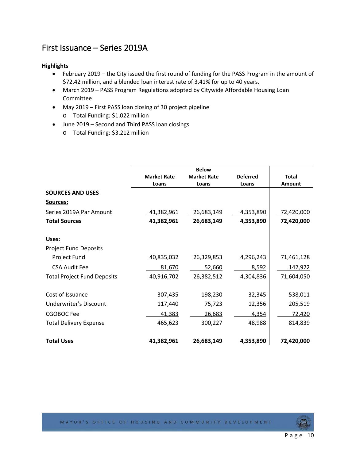### <span id="page-9-0"></span>First Issuance – Series 2019A

#### **Highlights**

- February 2019 the City issued the first round of funding for the PASS Program in the amount of \$72.42 million, and a blended loan interest rate of 3.41% for up to 40 years.
- March 2019 PASS Program Regulations adopted by Citywide Affordable Housing Loan Committee
- May 2019 First PASS loan closing of 30 project pipeline
	- o Total Funding: \$1.022 million
- June 2019 Second and Third PASS loan closings
	- o Total Funding: \$3.212 million

|                                    |                    | <b>Below</b>       |                 |               |  |
|------------------------------------|--------------------|--------------------|-----------------|---------------|--|
|                                    | <b>Market Rate</b> | <b>Market Rate</b> | <b>Deferred</b> | <b>Total</b>  |  |
|                                    | Loans              | Loans              | Loans           | <b>Amount</b> |  |
| <b>SOURCES AND USES</b>            |                    |                    |                 |               |  |
| Sources:                           |                    |                    |                 |               |  |
| Series 2019A Par Amount            | 41,382,961         | 26,683,149         | 4,353,890       | 72,420,000    |  |
| <b>Total Sources</b>               | 41,382,961         | 26,683,149         | 4,353,890       | 72,420,000    |  |
| Uses:                              |                    |                    |                 |               |  |
| <b>Project Fund Deposits</b>       |                    |                    |                 |               |  |
| Project Fund                       | 40,835,032         | 26,329,853         | 4,296,243       | 71,461,128    |  |
| <b>CSA Audit Fee</b>               | 81,670             | 52,660             | 8,592           | 142,922       |  |
| <b>Total Project Fund Deposits</b> | 40,916,702         | 26,382,512         | 4,304,836       | 71,604,050    |  |
| Cost of Issuance                   | 307,435            | 198,230            | 32,345          | 538,011       |  |
| Underwriter's Discount             | 117,440            | 75,723             | 12,356          | 205,519       |  |
| <b>CGOBOC Fee</b>                  | 41,383             | 26,683             | 4,354           | 72,420        |  |
| <b>Total Delivery Expense</b>      | 465,623            | 300,227            | 48,988          | 814,839       |  |
| <b>Total Uses</b>                  | 41,382,961         | 26,683,149         | 4,353,890       | 72,420,000    |  |

Page 10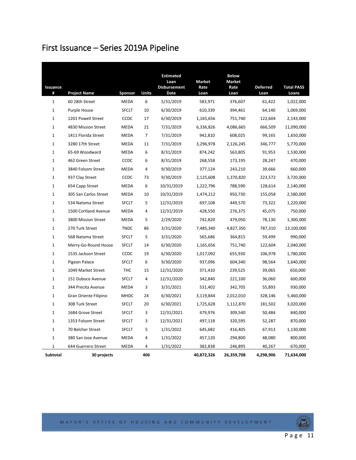## <span id="page-10-0"></span>First Issuance – Series 2019A Pipeline

| Issuance     |                       |              |                | <b>Estimated</b><br>Loan<br><b>Disbursement</b> | <b>Market</b><br>Rate | <b>Below</b><br><b>Market</b><br>Rate | <b>Deferred</b> | <b>Total PASS</b> |
|--------------|-----------------------|--------------|----------------|-------------------------------------------------|-----------------------|---------------------------------------|-----------------|-------------------|
| #            | <b>Project Name</b>   | Sponsor      | Units          | Date                                            | Loan                  | Loan                                  | Loan            | Loans             |
| $\mathbf{1}$ | 60 28th Street        | <b>MEDA</b>  | 6              | 5/31/2019                                       | 583,971               | 376,607                               | 61,422          | 1,022,000         |
| 1            | Purple House          | <b>SFCLT</b> | 10             | 6/30/2019                                       | 610,339               | 394,461                               | 64,140          | 1,069,000         |
| $\mathbf{1}$ | 1201 Powell Street    | CCDC         | 17             | 6/30/2019                                       | 1,165,656             | 751,740                               | 122,604         | 2,143,000         |
| $\mathbf{1}$ | 4830 Mission Street   | <b>MEDA</b>  | 21             | 7/31/2019                                       | 6,336,826             | 4,086,665                             | 666,509         | 11,090,000        |
| $\mathbf{1}$ | 1411 Florida Street   | <b>MEDA</b>  | 7              | 7/31/2019                                       | 942,810               | 608,025                               | 99,165          | 1,650,000         |
| 1            | 3280 17th Street      | <b>MEDA</b>  | 11             | 7/31/2019                                       | 3,296,978             | 2,126,245                             | 346,777         | 5,770,000         |
| $\mathbf{1}$ | 65-69 Woodward        | <b>MEDA</b>  | 6              | 8/31/2019                                       | 874,242               | 563,805                               | 91,953          | 1,530,000         |
| $\mathbf{1}$ | 462 Green Street      | CCDC         | 6              | 8/31/2019                                       | 268,558               | 173,195                               | 28,247          | 470,000           |
| $\mathbf{1}$ | 3840 Folsom Street    | <b>MEDA</b>  | 4              | 9/30/2019                                       | 377,124               | 243,210                               | 39,666          | 660,000           |
| $\mathbf{1}$ | 937 Clay Street       | CCDC         | 73             | 9/30/2019                                       | 2,125,608             | 1,370,820                             | 223,572         | 3,720,000         |
| $\mathbf{1}$ | 654 Capp Street       | <b>MEDA</b>  | 6              | 10/31/2019                                      | 1,222,796             | 788,590                               | 128,614         | 2,140,000         |
| $\mathbf 1$  | 305 San Carlos Street | <b>MEDA</b>  | 10             | 10/31/2019                                      | 1,474,212             | 950,730                               | 155,058         | 2,580,000         |
| 1            | 534 Natoma Street     | <b>SFCLT</b> | 5              | 12/31/2019                                      | 697,108               | 449,570                               | 73,322          | 1,220,000         |
| $\mathbf 1$  | 1500 Cortland Avenue  | MEDA         | $\overline{4}$ | 12/31/2019                                      | 428,550               | 276,375                               | 45,075          | 750,000           |
| $\mathbf{1}$ | 3800 Mission Street   | MEDA         | 5              | 2/29/2020                                       | 742,820               | 479,050                               | 78,130          | 1,300,000         |
| 1            | 270 Turk Street       | <b>TNDC</b>  | 86             | 3/31/2020                                       | 7,485,340             | 4,827,350                             | 787,310         | 13,100,000        |
| $\mathbf{1}$ | 568 Natoma Street     | <b>SFCLT</b> | 5              | 3/31/2020                                       | 565,686               | 364,815                               | 59,499          | 990,000           |
| $\mathbf{1}$ | Merry-Go-Round House  | <b>SFCLT</b> | 14             | 6/30/2020                                       | 1,165,656             | 751,740                               | 122,604         | 2,040,000         |
| $\mathbf{1}$ | 1535 Jackson Street   | CCDC         | 19             | 6/30/2020                                       | 1,017,092             | 655,930                               | 106,978         | 1,780,000         |
| 1            | Pigeon Palace         | <b>SFCLT</b> | 6              | 9/30/2020                                       | 937,096               | 604,340                               | 98,564          | 1,640,000         |
| $\mathbf{1}$ | 1049 Market Street    | <b>THC</b>   | 15             | 12/31/2020                                      | 371,410               | 239,525                               | 39,065          | 650,000           |
| $\mathbf{1}$ | 151 Duboce Avenue     | <b>SFCLT</b> | 4              | 12/31/2020                                      | 342,840               | 221,100                               | 36,060          | 600,000           |
| $\mathbf{1}$ | 344 Precita Avenue    | <b>MEDA</b>  | 3              | 3/31/2021                                       | 531,402               | 342,705                               | 55,893          | 930,000           |
| $\mathbf{1}$ | Gran Oriente Filipino | <b>MHDC</b>  | 24             | 6/30/2021                                       | 3,119,844             | 2,012,010                             | 328,146         | 5,460,000         |
| $\mathbf{1}$ | 308 Turk Street       | <b>SFCLT</b> | 20             | 6/30/2021                                       | 1,725,628             | 1,112,870                             | 181,502         | 3,020,000         |
| $\mathbf{1}$ | 1684 Grove Street     | <b>SFCLT</b> | 3              | 12/31/2021                                      | 479,976               | 309,540                               | 50,484          | 840,000           |
| $\mathbf{1}$ | 1353 Folsom Street    | <b>SFCLT</b> | 3              | 12/31/2021                                      | 497,118               | 320,595                               | 52,287          | 870,000           |
| 1            | 70 Belcher Street     | <b>SFCLT</b> | 5              | 1/31/2022                                       | 645,682               | 416,405                               | 67,913          | 1,130,000         |
| $\mathbf{1}$ | 380 San Jose Avenue   | MEDA         | 4              | 1/31/2022                                       | 457,120               | 294,800                               | 48,080          | 800,000           |
| 1            | 644 Guerrero Street   | <b>MEDA</b>  | 4              | 1/31/2022                                       | 382,838               | 246,895                               | 40,267          | 670,000           |
| Subtotal     | 30 projects           |              | 406            |                                                 | 40,872,326            | 26,359,708                            | 4,298,906       | 71,634,000        |

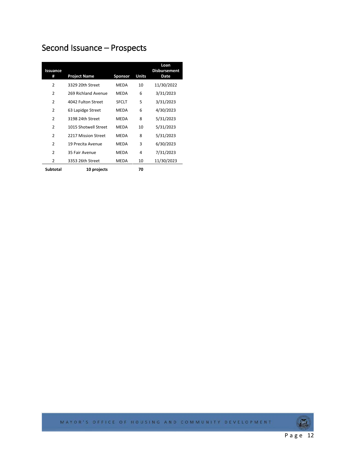## <span id="page-11-0"></span>Second Issuance – Prospects

| Issuance<br>#  | <b>Project Name</b>  | Sponsor      | Units | Loan<br><b>Disbursement</b><br>Date |
|----------------|----------------------|--------------|-------|-------------------------------------|
| 2              | 3329 20th Street     | MEDA         | 10    | 11/30/2022                          |
| $\overline{2}$ | 269 Richland Avenue  | <b>MEDA</b>  | 6     | 3/31/2023                           |
| $\overline{2}$ | 4042 Fulton Street   | <b>SFCLT</b> | 5     | 3/31/2023                           |
| $\overline{2}$ | 63 Lapidge Street    | MEDA         | 6     | 4/30/2023                           |
| 2              | 3198 24th Street     | <b>MFDA</b>  | 8     | 5/31/2023                           |
| $\overline{2}$ | 1015 Shotwell Street | <b>MFDA</b>  | 10    | 5/31/2023                           |
| $\overline{2}$ | 2217 Mission Street  | <b>MEDA</b>  | 8     | 5/31/2023                           |
| $\overline{2}$ | 19 Precita Avenue    | <b>MEDA</b>  | 3     | 6/30/2023                           |
| $\mathfrak z$  | 35 Fair Avenue       | <b>MEDA</b>  | 4     | 7/31/2023                           |
| 2              | 3353 26th Street     | <b>MEDA</b>  | 10    | 11/30/2023                          |
| Subtotal       | 10 projects          |              | 70    |                                     |

MAYOR'S OFFICE OF HOUSING AND COMMUNITY DEVELOPMENT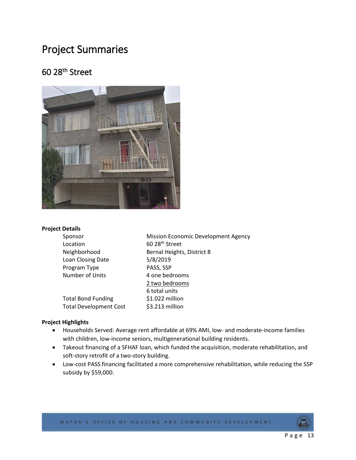### <span id="page-12-0"></span>Project Summaries

### <span id="page-12-1"></span>60 28th Street



#### **Project Details**

| <b>Mission Economic Development Agency</b> |
|--------------------------------------------|
| 60 28 <sup>th</sup> Street                 |
| Bernal Heights, District 8                 |
| 5/8/2019                                   |
| PASS, SSP                                  |
| 4 one bedrooms                             |
| 2 two bedrooms                             |
| 6 total units                              |
| \$1.022 million                            |
| \$3.213 million                            |
|                                            |

#### **Project Highlights**

- Households Served: Average rent affordable at 69% AMI, low- and moderate-income families with children, low-income seniors, multigenerational building residents.
- Takeout financing of a SFHAF loan, which funded the acquisition, moderate rehabilitation, and soft-story retrofit of a two-story building.
- Low-cost PASS financing facilitated a more comprehensive rehabilitation, while reducing the SSP subsidy by \$59,000.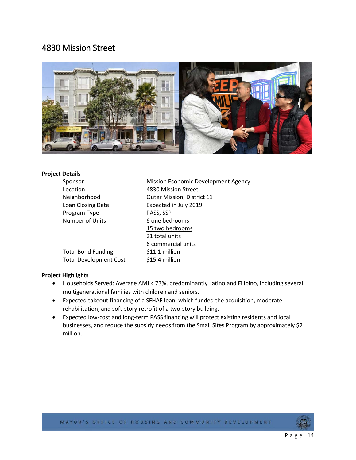### <span id="page-13-0"></span>4830 Mission Street



#### **Project Details**

| Sponsor                       | Mission Economic Development Agency |
|-------------------------------|-------------------------------------|
| Location                      | 4830 Mission Street                 |
| Neighborhood                  | Outer Mission, District 11          |
| Loan Closing Date             | Expected in July 2019               |
| Program Type                  | PASS, SSP                           |
| Number of Units               | 6 one bedrooms                      |
|                               | 15 two bedrooms                     |
|                               | 21 total units                      |
|                               | 6 commercial units                  |
| <b>Total Bond Funding</b>     | \$11.1 million                      |
| <b>Total Development Cost</b> | \$15.4 million                      |

#### **Project Highlights**

- Households Served: Average AMI < 73%, predominantly Latino and Filipino, including several multigenerational families with children and seniors.
- Expected takeout financing of a SFHAF loan, which funded the acquisition, moderate rehabilitation, and soft-story retrofit of a two-story building.
- Expected low-cost and long-term PASS financing will protect existing residents and local businesses, and reduce the subsidy needs from the Small Sites Program by approximately \$2 million.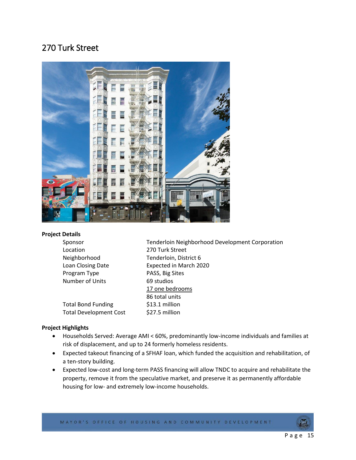### <span id="page-14-0"></span>270 Turk Street



#### **Project Details**

| Sponsor                       | Tenderloin Neighborhood Development Corporation |
|-------------------------------|-------------------------------------------------|
| Location                      | 270 Turk Street                                 |
| Neighborhood                  | Tenderloin, District 6                          |
| Loan Closing Date             | Expected in March 2020                          |
| Program Type                  | PASS, Big Sites                                 |
| Number of Units               | 69 studios                                      |
|                               | 17 one bedrooms                                 |
|                               | 86 total units                                  |
| <b>Total Bond Funding</b>     | \$13.1 million                                  |
| <b>Total Development Cost</b> | \$27.5 million                                  |

#### **Project Highlights**

- Households Served: Average AMI < 60%, predominantly low-income individuals and families at risk of displacement, and up to 24 formerly homeless residents.
- Expected takeout financing of a SFHAF loan, which funded the acquisition and rehabilitation, of a ten-story building.
- Expected low-cost and long-term PASS financing will allow TNDC to acquire and rehabilitate the property, remove it from the speculative market, and preserve it as permanently affordable housing for low- and extremely low-income households.